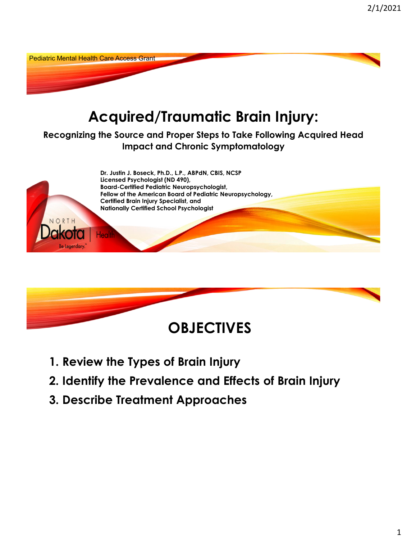



**1. Review the Types of Brain Injury**

Be Legendary

- **2. Identify the Prevalence and Effects of Brain Injury**
- **3. Describe Treatment Approaches**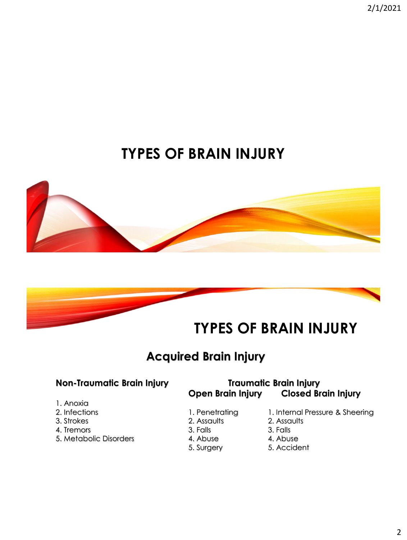2/1/2021

# **TYPES OF BRAIN INJURY**





### **Acquired Brain Injury**

#### **Non-Traumatic Brain Injury Traumatic Brain Injury Open Brain Injury Closed Brain Injury**

- 1. Anoxia
- 
- 
- 4. Tremors 3. Falls 3. Falls 3. Falls
- 5. Metabolic Disorders **4. Abuse** 4. Abuse
- 
- 
- -
	-
- 2. Infections 2. Infections 1. Penetrating 1. Internal Pressure & Sheering
- 3. Strokes 2. Assaults 2. Assaults
	- -
	- 5. Surgery 5. Accident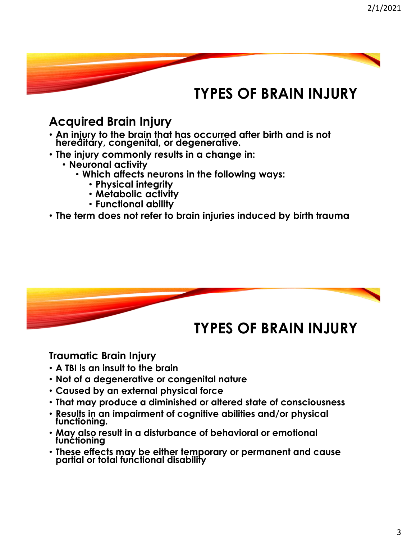### **TYPES OF BRAIN INJURY**

### **Acquired Brain Injury**

- **An injury to the brain that has occurred after birth and is not hereditary, congenital, or degenerative.**
- **The injury commonly results in a change in:**
	- **Neuronal activity**
		- **Which affects neurons in the following ways:**
			- **Physical integrity**
			- **Metabolic activity**
			- **Functional ability**
- **The term does not refer to brain injuries induced by birth trauma**



#### **Traumatic Brain Injury**

- **A TBI is an insult to the brain**
- **Not of a degenerative or congenital nature**
- **Caused by an external physical force**
- **That may produce a diminished or altered state of consciousness**
- **Results in an impairment of cognitive abilities and/or physical functioning.**
- **May also result in a disturbance of behavioral or emotional functioning**
- **These effects may be either temporary or permanent and cause partial or total functional disability**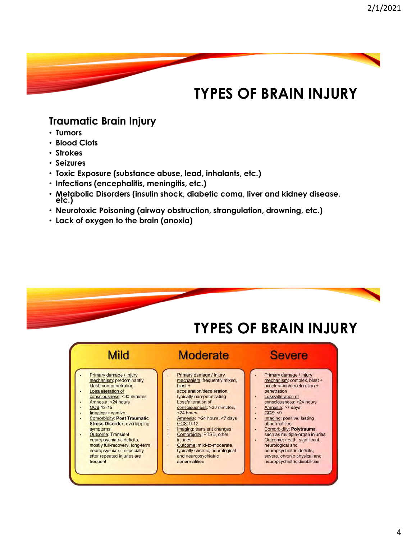### **TYPES OF BRAIN INJURY**

#### **Traumatic Brain Injury**

- **Tumors**
- **Blood Clots**
- **Strokes**
- **Seizures**
- **Toxic Exposure (substance abuse, lead, inhalants, etc.)**
- **Infections (encephalitis, meningitis, etc.)**
- **Metabolic Disorders (insulin shock, diabetic coma, liver and kidney disease, etc.)**
- **Neurotoxic Poisoning (airway obstruction, strangulation, drowning, etc.)**
- **Lack of oxygen to the brain (anoxia)**

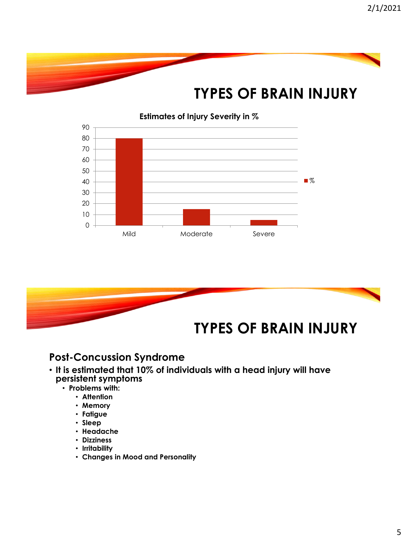





#### **Post-Concussion Syndrome**

- **It is estimated that 10% of individuals with a head injury will have persistent symptoms** 
	- **Problems with:**
		- **Attention**
		- **Memory**
		- **Fatigue**
		- **Sleep**
		- **Headache**
		- **Dizziness**
		- **Irritability**
		- **Changes in Mood and Personality**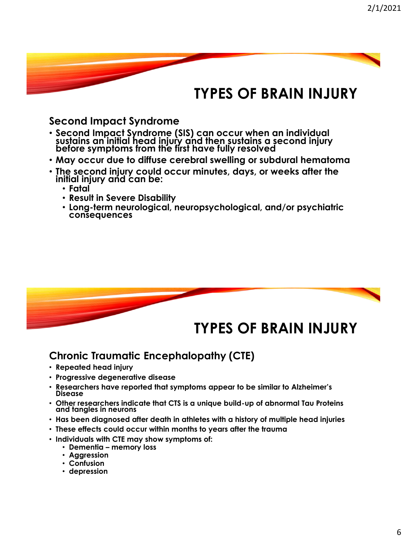## **TYPES OF BRAIN INJURY**

#### **Second Impact Syndrome**

- **Second Impact Syndrome (SIS) can occur when an individual sustains an initial head injury and then sustains a second injury before symptoms from the first have fully resolved**
- **May occur due to diffuse cerebral swelling or subdural hematoma**
- **The second injury could occur minutes, days, or weeks after the initial injury and can be:**
	- **Fatal**
	- **Result in Severe Disability**
	- **Long-term neurological, neuropsychological, and/or psychiatric consequences**



#### **Chronic Traumatic Encephalopathy (CTE)**

- **Repeated head injury**
- **Progressive degenerative disease**
- **Researchers have reported that symptoms appear to be similar to Alzheimer's Disease**
- **Other researchers indicate that CTS is a unique build-up of abnormal Tau Proteins and tangles in neurons**
- **Has been diagnosed after death in athletes with a history of multiple head injuries**
- **These effects could occur within months to years after the trauma**
- **Individuals with CTE may show symptoms of:**
	- **Dementia – memory loss**
	- **Aggression**
	- **Confusion**
	- **depression**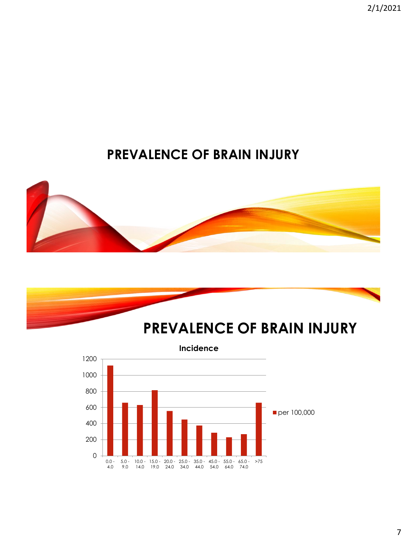2/1/2021

### **PREVALENCE OF BRAIN INJURY**





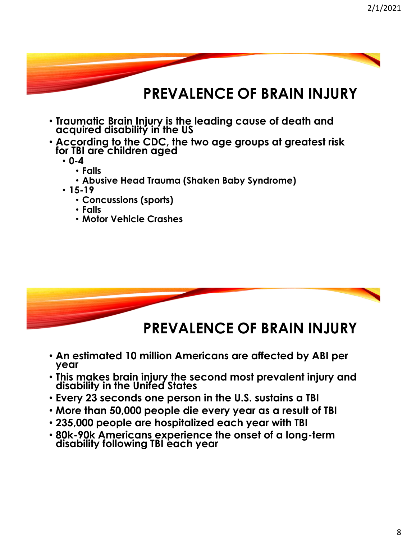



### **PREVALENCE OF BRAIN INJURY**

- **An estimated 10 million Americans are affected by ABI per year**
- **This makes brain injury the second most prevalent injury and disability in the United States**
- **Every 23 seconds one person in the U.S. sustains a TBI**
- **More than 50,000 people die every year as a result of TBI**
- **235,000 people are hospitalized each year with TBI**
- **80k-90k Americans experience the onset of a long-term disability following TBI each year**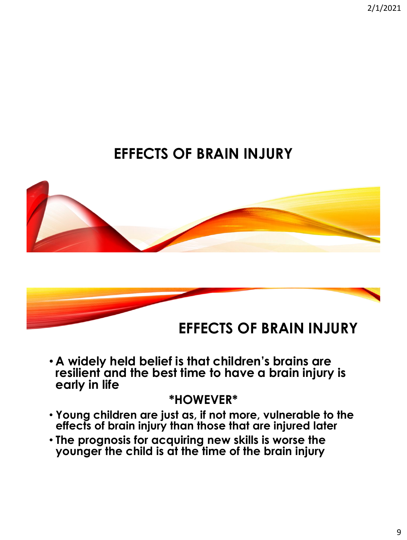2/1/2021

# **EFFECTS OF BRAIN INJURY**





• **A widely held belief is that children's brains are resilient and the best time to have a brain injury is early in life**

#### **\*HOWEVER\***

- **Young children are just as, if not more, vulnerable to the effects of brain injury than those that are injured later**
- **The prognosis for acquiring new skills is worse the younger the child is at the time of the brain injury**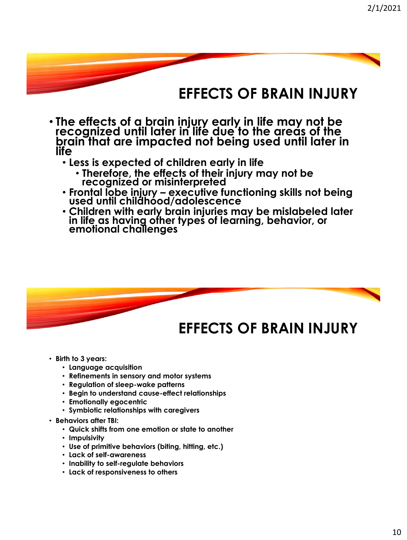### **EFFECTS OF BRAIN INJURY**

- **The effects of a brain injury early in life may not be recognized until later in life due to the areas of the brain that are impacted not being used until later in life**
	- **Less is expected of children early in life**
		- **Therefore, the effects of their injury may not be recognized or misinterpreted**
	- **Frontal lobe injury – executive functioning skills not being used until childhood/adolescence**
	- **Children with early brain injuries may be mislabeled later in life as having other types of learning, behavior, or emotional challenges**



- **Birth to 3 years:** 
	- **Language acquisition**
	- **Refinements in sensory and motor systems**
	- **Regulation of sleep-wake patterns**
	- **Begin to understand cause-effect relationships**
	- **Emotionally egocentric**
	- **Symbiotic relationships with caregivers**
- **Behaviors after TBI:**
	- **Quick shifts from one emotion or state to another**
	- **Impulsivity**
	- **Use of primitive behaviors (biting, hitting, etc.)**
	- **Lack of self-awareness**
	- **Inability to self-regulate behaviors**
	- **Lack of responsiveness to others**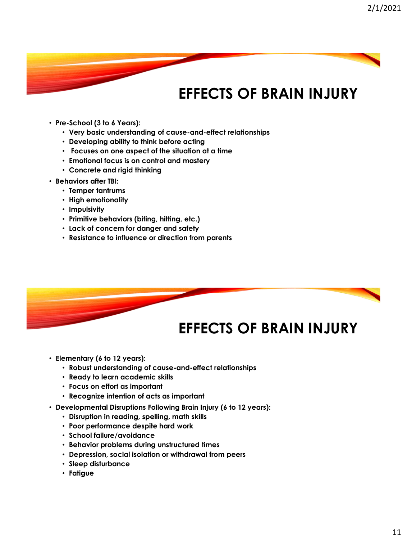# **EFFECTS OF BRAIN INJURY**

- **Pre-School (3 to 6 Years):**
	- **Very basic understanding of cause-and-effect relationships**
	- **Developing ability to think before acting**
	- **Focuses on one aspect of the situation at a time**
	- **Emotional focus is on control and mastery**
	- **Concrete and rigid thinking**
- **Behaviors after TBI:**
	- **Temper tantrums**
	- **High emotionality**
	- **Impulsivity**
	- **Primitive behaviors (biting, hitting, etc.)**
	- **Lack of concern for danger and safety**
	- **Resistance to influence or direction from parents**



- **Elementary (6 to 12 years):** 
	- **Robust understanding of cause-and-effect relationships**
	- **Ready to learn academic skills**
	- **Focus on effort as important**
	- **Recognize intention of acts as important**
- **Developmental Disruptions Following Brain Injury (6 to 12 years):**
	- **Disruption in reading, spelling, math skills**
	- **Poor performance despite hard work**
	- **School failure/avoidance**
	- **Behavior problems during unstructured times**
	- **Depression, social isolation or withdrawal from peers**
	- **Sleep disturbance**
	- **Fatigue**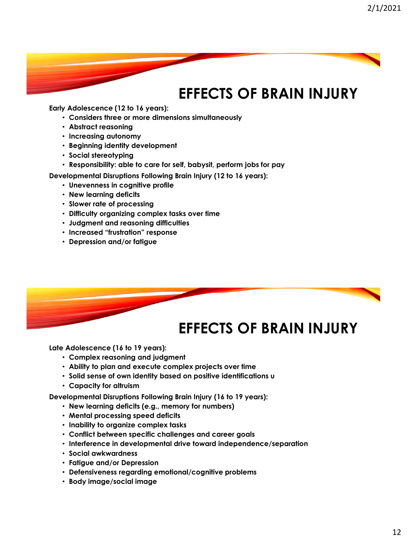# **EFFECTS OF BRAIN INJURY**

**Early Adolescence (12 to 16 years):** 

- **Considers three or more dimensions simultaneously**
- **Abstract reasoning**
- **Increasing autonomy**
- **Beginning identity development**
- **Social stereotyping**
- **Responsibility: able to care for self, babysit, perform jobs for pay**

**Developmental Disruptions Following Brain Injury (12 to 16 years):**

- **Unevenness in cognitive profile**
- **New learning deficits**
- **Slower rate of processing**
- **Difficulty organizing complex tasks over time**
- **Judgment and reasoning difficulties**
- **Increased "frustration" response**
- **Depression and/or fatigue**



### **EFFECTS OF BRAIN INJURY**

**Late Adolescence (16 to 19 years):** 

- **Complex reasoning and judgment**
- **Ability to plan and execute complex projects over time**
- **Solid sense of own identity based on positive identifications u**
- **Capacity for altruism**

**Developmental Disruptions Following Brain Injury (16 to 19 years):**

- **New learning deficits (e.g., memory for numbers)**
- **Mental processing speed deficits**
- **Inability to organize complex tasks**
- **Conflict between specific challenges and career goals**
- **Interference in developmental drive toward independence/separation**
- **Social awkwardness**
- **Fatigue and/or Depression**
- **Defensiveness regarding emotional/cognitive problems**
- **Body image/social image**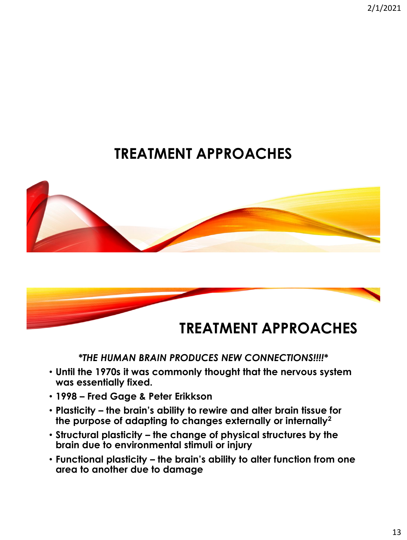2/1/2021

# **TREATMENT APPROACHES**





#### *\*THE HUMAN BRAIN PRODUCES NEW CONNECTIONS!!!!\**

- **Until the 1970s it was commonly thought that the nervous system was essentially fixed.**
- **1998 – Fred Gage & Peter Erikkson**
- **Plasticity – the brain's ability to rewire and alter brain tissue for the purpose of adapting to changes externally or internally<sup>2</sup>**
- **Structural plasticity – the change of physical structures by the brain due to environmental stimuli or injury**
- **Functional plasticity – the brain's ability to alter function from one area to another due to damage**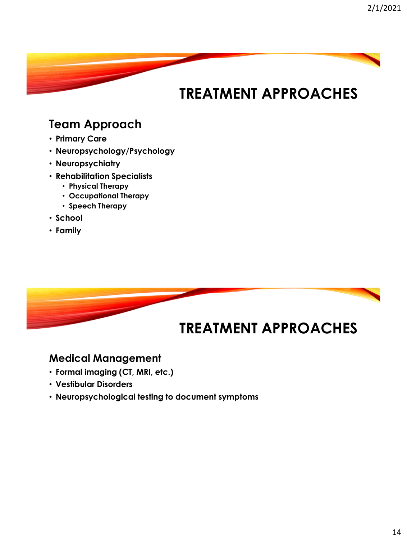#### **Team Approach**

- **Primary Care**
- **Neuropsychology/Psychology**
- **Neuropsychiatry**
- **Rehabilitation Specialists**
	- **Physical Therapy**
	- **Occupational Therapy**
	- **Speech Therapy**
- **School**
- **Family**



#### **Medical Management**

- **Formal imaging (CT, MRI, etc.)**
- **Vestibular Disorders**
- **Neuropsychological testing to document symptoms**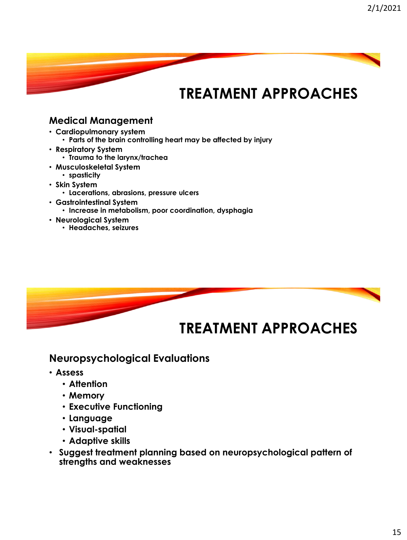#### **Medical Management**

- **Cardiopulmonary system** • **Parts of the brain controlling heart may be affected by injury**
- **Respiratory System** • **Trauma to the larynx/trachea**
- **Musculoskeletal System**
	- **spasticity**
- **Skin System**
	- **Lacerations, abrasions, pressure ulcers**
- **Gastrointestinal System**
	- **Increase in metabolism, poor coordination, dysphagia**
- **Neurological System**
	- **Headaches, seizures**



### **TREATMENT APPROACHES**

#### **Neuropsychological Evaluations**

- **Assess**
	- **Attention**
	- **Memory**
	- **Executive Functioning**
	- **Language**
	- **Visual-spatial**
	- **Adaptive skills**
- **Suggest treatment planning based on neuropsychological pattern of strengths and weaknesses**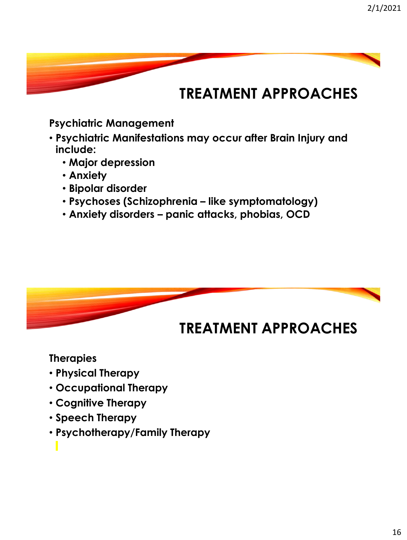#### **Psychiatric Management**

- **Psychiatric Manifestations may occur after Brain Injury and include:**
	- **Major depression**
	- **Anxiety**
	- **Bipolar disorder**
	- **Psychoses (Schizophrenia – like symptomatology)**
	- **Anxiety disorders – panic attacks, phobias, OCD**



#### **Therapies**

- **Physical Therapy**
- **Occupational Therapy**
- **Cognitive Therapy**
- **Speech Therapy**
- **Psychotherapy/Family Therapy**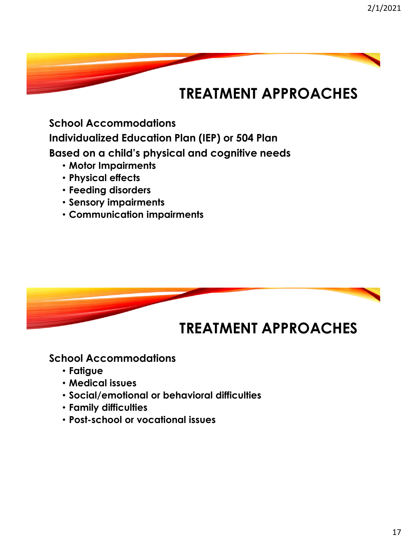**School Accommodations Individualized Education Plan (IEP) or 504 Plan Based on a child's physical and cognitive needs**

- **Motor Impairments**
- **Physical effects**
- **Feeding disorders**
- **Sensory impairments**
- **Communication impairments**



#### **School Accommodations**

- **Fatigue**
- **Medical issues**
- **Social/emotional or behavioral difficulties**
- **Family difficulties**
- **Post-school or vocational issues**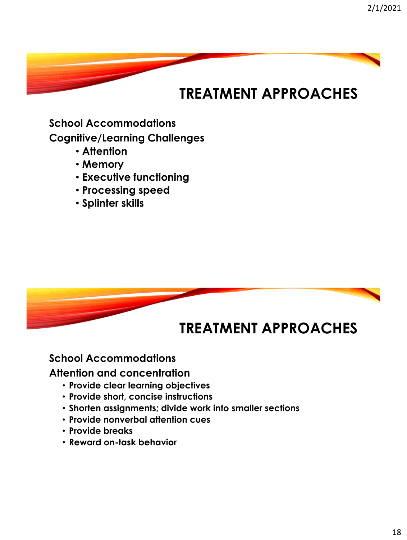**School Accommodations Cognitive/Learning Challenges**

- **Attention**
- **Memory**
- **Executive functioning**
- **Processing speed**
- **Splinter skills**



#### **School Accommodations**

**Attention and concentration**

- **Provide clear learning objectives**
- **Provide short, concise instructions**
- **Shorten assignments; divide work into smaller sections**
- **Provide nonverbal attention cues**
- **Provide breaks**
- **Reward on-task behavior**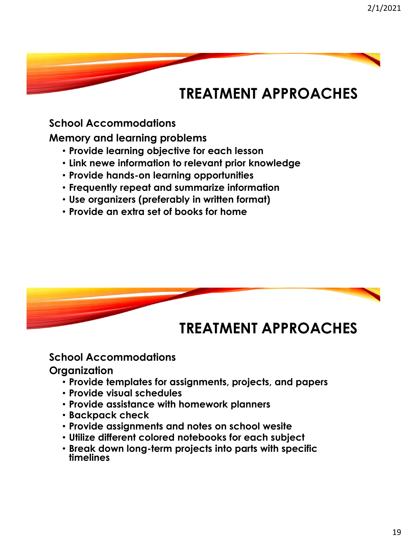#### **School Accommodations**

**Memory and learning problems**

- **Provide learning objective for each lesson**
- **Link newe information to relevant prior knowledge**
- **Provide hands-on learning opportunities**
- **Frequently repeat and summarize information**
- **Use organizers (preferably in written format)**
- **Provide an extra set of books for home**



### **TREATMENT APPROACHES**

#### **School Accommodations**

#### **Organization**

- **Provide templates for assignments, projects, and papers**
- **Provide visual schedules**
- **Provide assistance with homework planners**
- **Backpack check**
- **Provide assignments and notes on school wesite**
- **Utilize different colored notebooks for each subject**
- **Break down long-term projects into parts with specific timelines**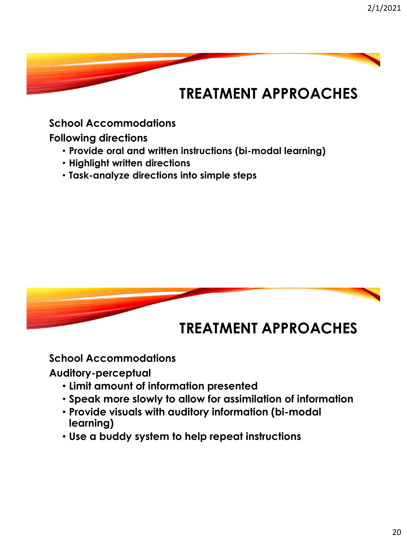#### **School Accommodations**

**Following directions**

- **Provide oral and written instructions (bi-modal learning)**
- **Highlight written directions**
- **Task-analyze directions into simple steps**



### **School Accommodations**

**Auditory-perceptual**

- **Limit amount of information presented**
- **Speak more slowly to allow for assimilation of information**
- **Provide visuals with auditory information (bi-modal learning)**
- **Use a buddy system to help repeat instructions**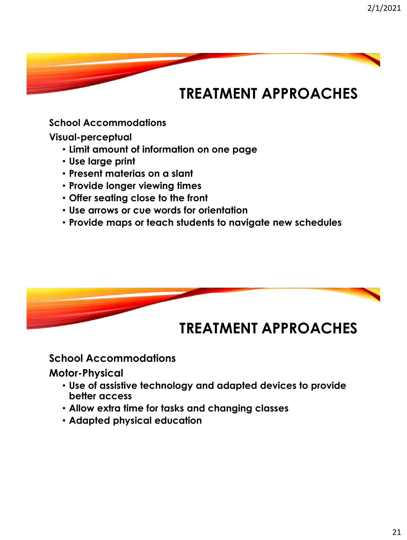**School Accommodations**

**Visual-perceptual**

- **Limit amount of information on one page**
- **Use large print**
- **Present materias on a slant**
- **Provide longer viewing times**
- **Offer seating close to the front**
- **Use arrows or cue words for orientation**
- **Provide maps or teach students to navigate new schedules**



#### **School Accommodations**

**Motor-Physical**

- **Use of assistive technology and adapted devices to provide better access**
- **Allow extra time for tasks and changing classes**
- **Adapted physical education**